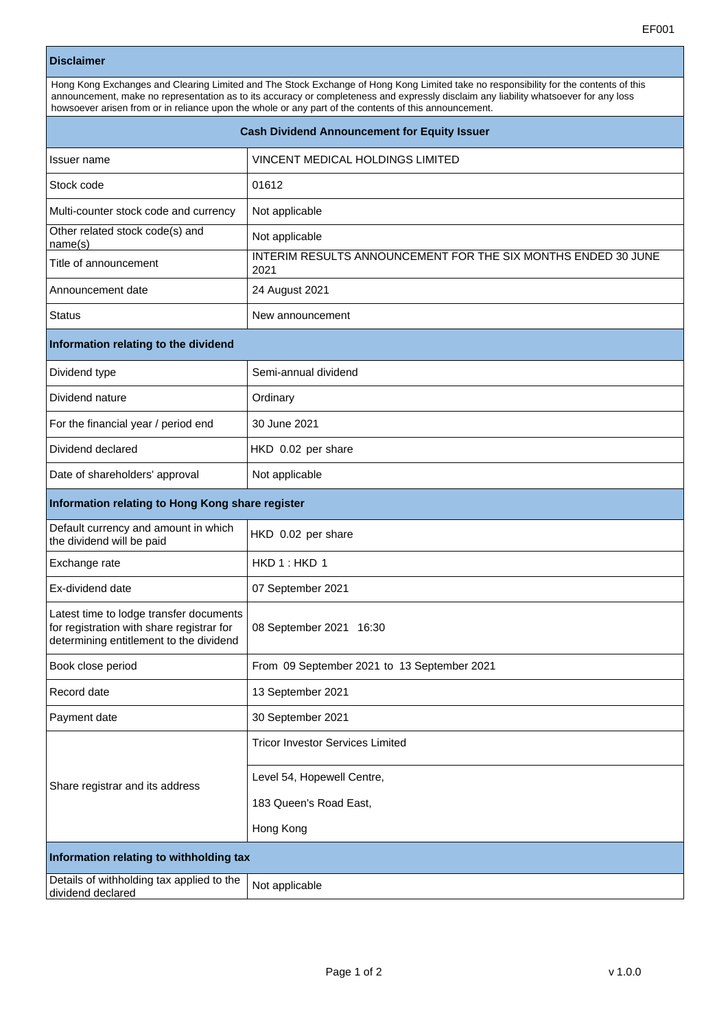## **Disclaimer**

| Hong Kong Exchanges and Clearing Limited and The Stock Exchange of Hong Kong Limited take no responsibility for the contents of this<br>announcement, make no representation as to its accuracy or completeness and expressly disclaim any liability whatsoever for any loss<br>howsoever arisen from or in reliance upon the whole or any part of the contents of this announcement. |                                  |  |
|---------------------------------------------------------------------------------------------------------------------------------------------------------------------------------------------------------------------------------------------------------------------------------------------------------------------------------------------------------------------------------------|----------------------------------|--|
| <b>Cash Dividend Announcement for Equity Issuer</b>                                                                                                                                                                                                                                                                                                                                   |                                  |  |
| <b>Issuer name</b>                                                                                                                                                                                                                                                                                                                                                                    | VINCENT MEDICAL HOLDINGS LIMITED |  |
| Stock code                                                                                                                                                                                                                                                                                                                                                                            | 01612                            |  |

THE SIX MONTHS ENDED 30 JUNE

| <u>TING OF ANITIOUNCENCITE</u>       | 2021                 |  |
|--------------------------------------|----------------------|--|
| Announcement date                    | 24 August 2021       |  |
| <b>Status</b>                        | New announcement     |  |
| Information relating to the dividend |                      |  |
| Dividend type                        | Semi-annual dividend |  |
| Dividend nature                      | Ordinary             |  |
| For the financial year / period end  | 30 June 2021         |  |
| Dividend declared                    | HKD 0.02 per share   |  |
| Date of shareholders' approval       | Not applicable       |  |

## **Information relating to Hong Kong**

Multi-counter stock code and currency | Not applicable

Other related stock code(s) and Mot applicable<br>
name(s)

| information relating to Hong Kong share register                                                                                |                                             |  |
|---------------------------------------------------------------------------------------------------------------------------------|---------------------------------------------|--|
| Default currency and amount in which<br>the dividend will be paid                                                               | HKD 0.02 per share                          |  |
| Exchange rate                                                                                                                   | HKD1:HKD1                                   |  |
| Ex-dividend date                                                                                                                | 07 September 2021                           |  |
| Latest time to lodge transfer documents<br>for registration with share registrar for<br>determining entitlement to the dividend | 08 September 2021 16:30                     |  |
| Book close period                                                                                                               | From 09 September 2021 to 13 September 2021 |  |
| Record date                                                                                                                     | 13 September 2021                           |  |
| Payment date                                                                                                                    | 30 September 2021                           |  |
| Share registrar and its address                                                                                                 | <b>Tricor Investor Services Limited</b>     |  |
|                                                                                                                                 | Level 54, Hopewell Centre,                  |  |
|                                                                                                                                 | 183 Queen's Road East,                      |  |
|                                                                                                                                 | Hong Kong                                   |  |
| Information relating to withholding tax                                                                                         |                                             |  |
| Details of withholding tax applied to the<br>dividend declared                                                                  | Not applicable                              |  |